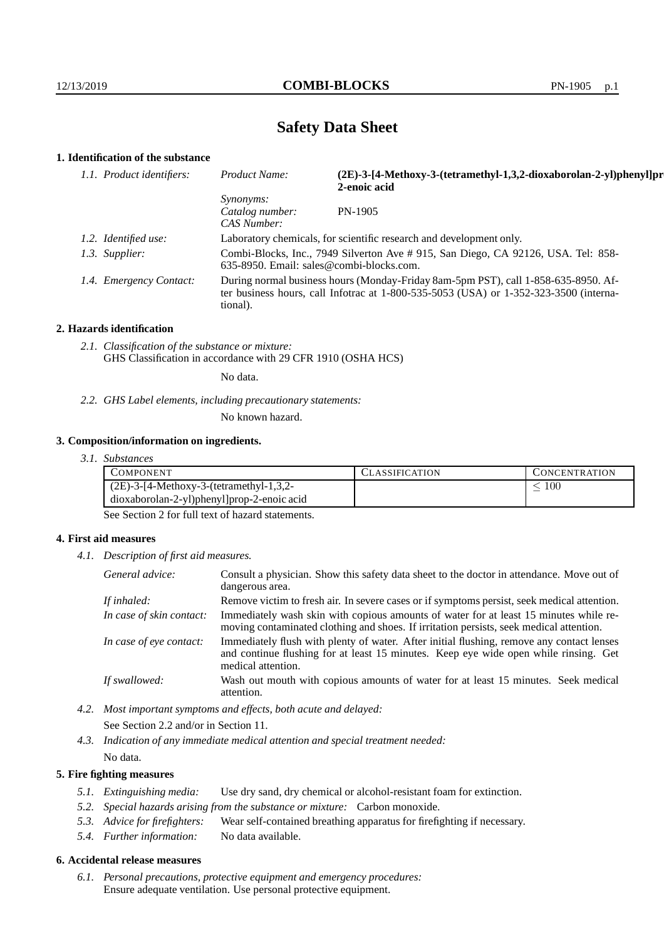# **Safety Data Sheet**

## **1. Identification of the substance**

| 1.1. Product identifiers: | Product Name:                                      | (2E)-3-[4-Methoxy-3-(tetramethyl-1,3,2-dioxaborolan-2-yl)phenyl]pr<br>2-enoic acid                                                                                          |
|---------------------------|----------------------------------------------------|-----------------------------------------------------------------------------------------------------------------------------------------------------------------------------|
|                           | <i>Synonyms:</i><br>Catalog number:<br>CAS Number: | PN-1905                                                                                                                                                                     |
| 1.2. Identified use:      |                                                    | Laboratory chemicals, for scientific research and development only.                                                                                                         |
| 1.3. Supplier:            | 635-8950. Email: sales@combi-blocks.com.           | Combi-Blocks, Inc., 7949 Silverton Ave # 915, San Diego, CA 92126, USA. Tel: 858-                                                                                           |
| 1.4. Emergency Contact:   | tional).                                           | During normal business hours (Monday-Friday 8am-5pm PST), call 1-858-635-8950. Af-<br>ter business hours, call Infotrac at 1-800-535-5053 (USA) or 1-352-323-3500 (interna- |

#### **2. Hazards identification**

*2.1. Classification of the substance or mixture:* GHS Classification in accordance with 29 CFR 1910 (OSHA HCS)

No data.

*2.2. GHS Label elements, including precautionary statements:*

No known hazard.

#### **3. Composition/information on ingredients.**

*3.1. Substances*

| COMPONENT                                  | CLASSIFICATION | <b>CONCENTRATION</b> |
|--------------------------------------------|----------------|----------------------|
| $(2E)$ -3-[4-Methoxy-3-(tetramethyl-1,3,2- |                | 100                  |
| dioxaborolan-2-yl)phenyl]prop-2-enoic acid |                |                      |

See Section 2 for full text of hazard statements.

#### **4. First aid measures**

*4.1. Description of first aid measures.*

| General advice:          | Consult a physician. Show this safety data sheet to the doctor in attendance. Move out of<br>dangerous area.                                                                                            |
|--------------------------|---------------------------------------------------------------------------------------------------------------------------------------------------------------------------------------------------------|
| If inhaled:              | Remove victim to fresh air. In severe cases or if symptoms persist, seek medical attention.                                                                                                             |
| In case of skin contact: | Immediately wash skin with copious amounts of water for at least 15 minutes while re-<br>moving contaminated clothing and shoes. If irritation persists, seek medical attention.                        |
| In case of eye contact:  | Immediately flush with plenty of water. After initial flushing, remove any contact lenses<br>and continue flushing for at least 15 minutes. Keep eye wide open while rinsing. Get<br>medical attention. |
| If swallowed:            | Wash out mouth with copious amounts of water for at least 15 minutes. Seek medical<br>attention.                                                                                                        |

*4.2. Most important symptoms and effects, both acute and delayed:* See Section 2.2 and/or in Section 11.

*4.3. Indication of any immediate medical attention and special treatment needed:* No data.

### **5. Fire fighting measures**

- *5.1. Extinguishing media:* Use dry sand, dry chemical or alcohol-resistant foam for extinction.
- *5.2. Special hazards arising from the substance or mixture:* Carbon monoxide.
- *5.3. Advice for firefighters:* Wear self-contained breathing apparatus for firefighting if necessary.
- *5.4. Further information:* No data available.

## **6. Accidental release measures**

*6.1. Personal precautions, protective equipment and emergency procedures:* Ensure adequate ventilation. Use personal protective equipment.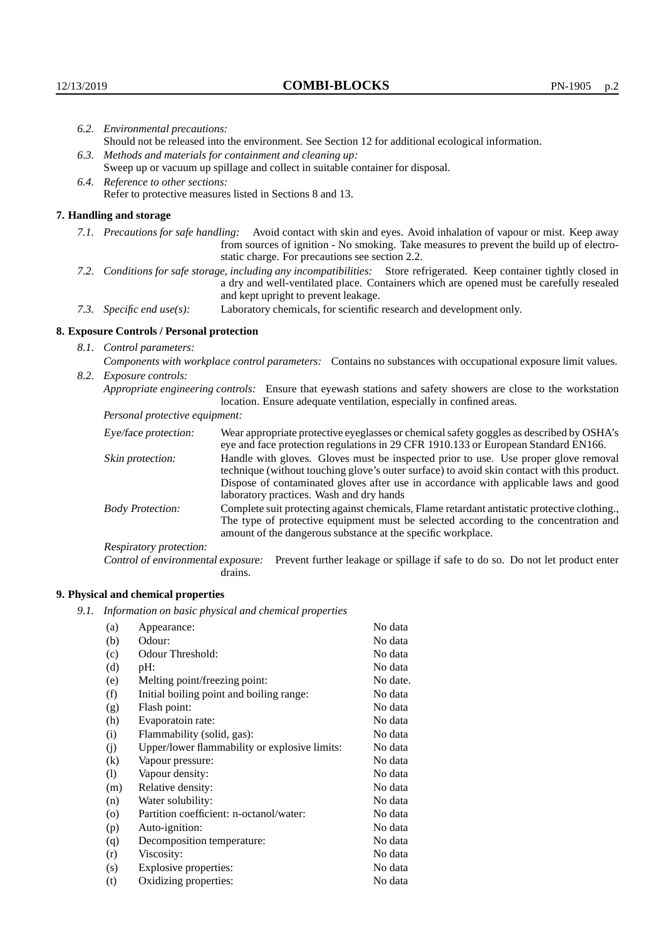|                                                                                                                         | 6.2. Environmental precautions:                                                                                                                                                        |                                                                                                                                                                                                                                                                    |  |
|-------------------------------------------------------------------------------------------------------------------------|----------------------------------------------------------------------------------------------------------------------------------------------------------------------------------------|--------------------------------------------------------------------------------------------------------------------------------------------------------------------------------------------------------------------------------------------------------------------|--|
|                                                                                                                         | Should not be released into the environment. See Section 12 for additional ecological information.                                                                                     |                                                                                                                                                                                                                                                                    |  |
|                                                                                                                         | 6.3. Methods and materials for containment and cleaning up:<br>Sweep up or vacuum up spillage and collect in suitable container for disposal.<br>6.4. Reference to other sections:     |                                                                                                                                                                                                                                                                    |  |
|                                                                                                                         |                                                                                                                                                                                        |                                                                                                                                                                                                                                                                    |  |
|                                                                                                                         |                                                                                                                                                                                        |                                                                                                                                                                                                                                                                    |  |
|                                                                                                                         | Refer to protective measures listed in Sections 8 and 13.                                                                                                                              |                                                                                                                                                                                                                                                                    |  |
|                                                                                                                         | 7. Handling and storage                                                                                                                                                                |                                                                                                                                                                                                                                                                    |  |
|                                                                                                                         |                                                                                                                                                                                        | 7.1. Precautions for safe handling: Avoid contact with skin and eyes. Avoid inhalation of vapour or mist. Keep away<br>from sources of ignition - No smoking. Take measures to prevent the build up of electro-<br>static charge. For precautions see section 2.2. |  |
| 7.2. Conditions for safe storage, including any incompatibilities: Store refrigerated. Keep container tightly closed in |                                                                                                                                                                                        | a dry and well-ventilated place. Containers which are opened must be carefully resealed<br>and kept upright to prevent leakage.                                                                                                                                    |  |
|                                                                                                                         | 7.3. Specific end use(s):                                                                                                                                                              | Laboratory chemicals, for scientific research and development only.                                                                                                                                                                                                |  |
|                                                                                                                         | 8. Exposure Controls / Personal protection                                                                                                                                             |                                                                                                                                                                                                                                                                    |  |
|                                                                                                                         | 8.1. Control parameters:                                                                                                                                                               |                                                                                                                                                                                                                                                                    |  |
|                                                                                                                         | Components with workplace control parameters: Contains no substances with occupational exposure limit values.                                                                          |                                                                                                                                                                                                                                                                    |  |
|                                                                                                                         | 8.2. Exposure controls:                                                                                                                                                                |                                                                                                                                                                                                                                                                    |  |
|                                                                                                                         | Appropriate engineering controls: Ensure that eyewash stations and safety showers are close to the workstation<br>location. Ensure adequate ventilation, especially in confined areas. |                                                                                                                                                                                                                                                                    |  |
|                                                                                                                         | Personal protective equipment:                                                                                                                                                         |                                                                                                                                                                                                                                                                    |  |
|                                                                                                                         | Eye/face protection:                                                                                                                                                                   | Wear appropriate protective eyeglasses or chemical safety goggles as described by OSHA's<br>eye and face protection regulations in 29 CFR 1910.133 or European Standard EN166.                                                                                     |  |
|                                                                                                                         | Skin protection:                                                                                                                                                                       | Handle with gloves. Gloves must be inspected prior to use. Use proper glove removal<br>technique (without touching glove's outer surface) to avoid skin contact with this product                                                                                  |  |

## **8. Exposure Controls / Personal protection**

| Eye/face protection:               | Wear appropriate protective eyeglasses or chemical safety goggles as described by OSHA's<br>eye and face protection regulations in 29 CFR 1910.133 or European Standard EN166.                                                                                                                                         |
|------------------------------------|------------------------------------------------------------------------------------------------------------------------------------------------------------------------------------------------------------------------------------------------------------------------------------------------------------------------|
| Skin protection:                   | Handle with gloves. Gloves must be inspected prior to use. Use proper glove removal<br>technique (without touching glove's outer surface) to avoid skin contact with this product.<br>Dispose of contaminated gloves after use in accordance with applicable laws and good<br>laboratory practices. Wash and dry hands |
| <b>Body Protection:</b>            | Complete suit protecting against chemicals, Flame retardant antistatic protective clothing.<br>The type of protective equipment must be selected according to the concentration and<br>amount of the dangerous substance at the specific workplace.                                                                    |
| Respiratory protection:            |                                                                                                                                                                                                                                                                                                                        |
| Control of environmental exposure: | Prevent further leakage or spillage if safe to do so. Do not let product enter<br>drains.                                                                                                                                                                                                                              |

## **9. Physical and chemical properties**

*9.1. Information on basic physical and chemical properties*

| (a)                | Appearance:                                   | No data  |
|--------------------|-----------------------------------------------|----------|
| (b)                | Odour:                                        | No data  |
| (c)                | Odour Threshold:                              | No data  |
| (d)                | pH:                                           | No data  |
| (e)                | Melting point/freezing point:                 | No date. |
| (f)                | Initial boiling point and boiling range:      | No data  |
| (g)                | Flash point:                                  | No data  |
| (h)                | Evaporatoin rate:                             | No data  |
| (i)                | Flammability (solid, gas):                    | No data  |
| (j)                | Upper/lower flammability or explosive limits: | No data  |
| $\rm(k)$           | Vapour pressure:                              | No data  |
| (1)                | Vapour density:                               | No data  |
| (m)                | Relative density:                             | No data  |
| (n)                | Water solubility:                             | No data  |
| $\left( 0 \right)$ | Partition coefficient: n-octanol/water:       | No data  |
| (p)                | Auto-ignition:                                | No data  |
| (q)                | Decomposition temperature:                    | No data  |
| (r)                | Viscosity:                                    | No data  |
| (s)                | Explosive properties:                         | No data  |
| (t)                | Oxidizing properties:                         | No data  |